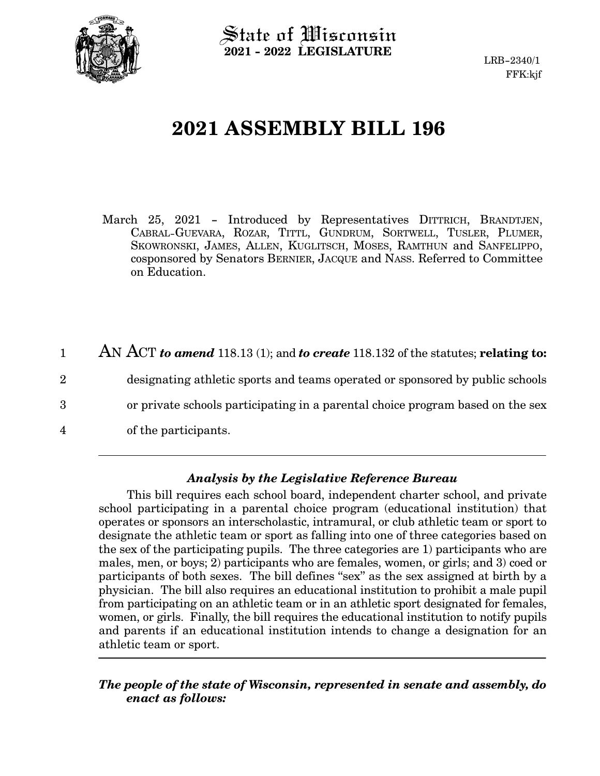

 $\operatorname{\mathsf{State}}$  of Wisconsin **2021 - 2022 LEGISLATURE**

# **2021 ASSEMBLY BILL 196**

March 25, 2021 - Introduced by Representatives DITTRICH, BRANDTJEN, CABRAL-GUEVARA, ROZAR, TITTL, GUNDRUM, SORTWELL, TUSLER, PLUMER, SKOWRONSKI, JAMES, ALLEN, KUGLITSCH, MOSES, RAMTHUN and SANFELIPPO, cosponsored by Senators BERNIER, JACQUE and NASS. Referred to Committee on Education.

AN ACT *to amend* 118.13 (1); and *to create* 118.132 of the statutes; **relating to:** designating athletic sports and teams operated or sponsored by public schools or private schools participating in a parental choice program based on the sex of the participants. 1 2 3 4

### *Analysis by the Legislative Reference Bureau*

This bill requires each school board, independent charter school, and private school participating in a parental choice program (educational institution) that operates or sponsors an interscholastic, intramural, or club athletic team or sport to designate the athletic team or sport as falling into one of three categories based on the sex of the participating pupils. The three categories are 1) participants who are males, men, or boys; 2) participants who are females, women, or girls; and 3) coed or participants of both sexes. The bill defines "sex" as the sex assigned at birth by a physician. The bill also requires an educational institution to prohibit a male pupil from participating on an athletic team or in an athletic sport designated for females, women, or girls. Finally, the bill requires the educational institution to notify pupils and parents if an educational institution intends to change a designation for an athletic team or sport.

#### *The people of the state of Wisconsin, represented in senate and assembly, do enact as follows:*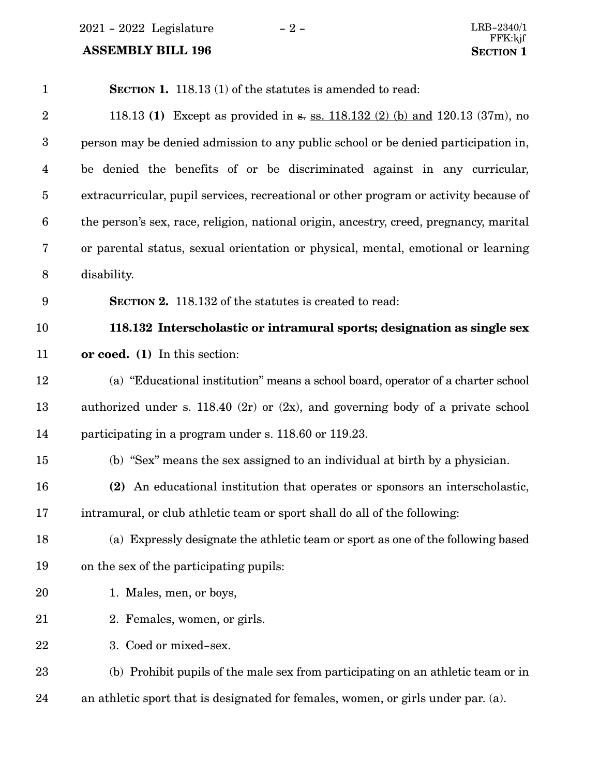$2021 - 2022$  Legislature  $-2 -$ 

## **ASSEMBLY BILL 196**

| $\mathbf{1}$     | <b>SECTION 1.</b> 118.13 (1) of the statutes is amended to read:                       |
|------------------|----------------------------------------------------------------------------------------|
| $\sqrt{2}$       | 118.13 (1) Except as provided in s. ss. 118.132 (2) (b) and 120.13 (37m), no           |
| $\boldsymbol{3}$ | person may be denied admission to any public school or be denied participation in,     |
| $\overline{4}$   | be denied the benefits of or be discriminated against in any curricular,               |
| $\bf 5$          | extracurricular, pupil services, recreational or other program or activity because of  |
| $\boldsymbol{6}$ | the person's sex, race, religion, national origin, ancestry, creed, pregnancy, marital |
| 7                | or parental status, sexual orientation or physical, mental, emotional or learning      |
| $8\phantom{1}$   | disability.                                                                            |
| 9                | <b>SECTION 2.</b> 118.132 of the statutes is created to read:                          |
| 10               | 118.132 Interscholastic or intramural sports; designation as single sex                |
| 11               | or coed. (1) In this section:                                                          |
| 12               | (a) "Educational institution" means a school board, operator of a charter school       |
| 13               | authorized under s. 118.40 (2r) or $(2x)$ , and governing body of a private school     |
| 14               | participating in a program under s. 118.60 or 119.23.                                  |
| 15               | (b) "Sex" means the sex assigned to an individual at birth by a physician.             |
| 16               | (2) An educational institution that operates or sponsors an interscholastic,           |
| 17               | intramural, or club athletic team or sport shall do all of the following:              |
| 18               | (a) Expressly designate the athletic team or sport as one of the following based       |
| 19               | on the sex of the participating pupils:                                                |
| 20               | 1. Males, men, or boys,                                                                |
| 21               | 2. Females, women, or girls.                                                           |
| 22               | 3. Coed or mixed-sex.                                                                  |
| 23               | (b) Prohibit pupils of the male sex from participating on an athletic team or in       |
| 24               | an athletic sport that is designated for females, women, or girls under par. (a).      |